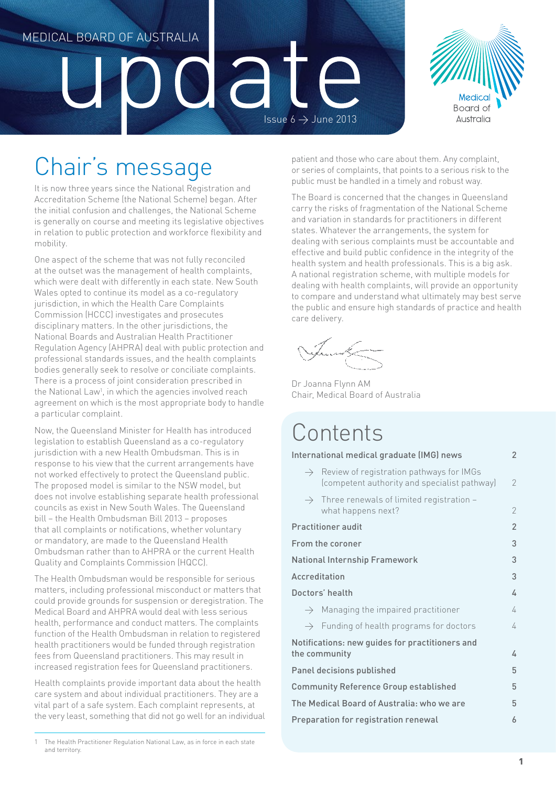## Medical Board of Australia a Issue  $6 \rightarrow$  June 2013



# Chair's message

It is now three years since the National Registration and Accreditation Scheme (the National Scheme) began. After the initial confusion and challenges, the National Scheme is generally on course and meeting its legislative objectives in relation to public protection and workforce flexibility and mobility.

One aspect of the scheme that was not fully reconciled at the outset was the management of health complaints, which were dealt with differently in each state. New South Wales opted to continue its model as a co-regulatory jurisdiction, in which the Health Care Complaints Commission (HCCC) investigates and prosecutes disciplinary matters. In the other jurisdictions, the National Boards and Australian Health Practitioner Regulation Agency (AHPRA) deal with public protection and professional standards issues, and the health complaints bodies generally seek to resolve or conciliate complaints. There is a process of joint consideration prescribed in the National Law<sup>1</sup>, in which the agencies involved reach agreement on which is the most appropriate body to handle a particular complaint.

Now, the Queensland Minister for Health has introduced legislation to establish Queensland as a co-regulatory jurisdiction with a new Health Ombudsman. This is in response to his view that the current arrangements have not worked effectively to protect the Queensland public. The proposed model is similar to the NSW model, but does not involve establishing separate health professional councils as exist in New South Wales. The Queensland bill – the Health Ombudsman Bill 2013 – proposes that all complaints or notifications, whether voluntary or mandatory, are made to the Queensland Health Ombudsman rather than to AHPRA or the current Health Quality and Complaints Commission (HQCC).

The Health Ombudsman would be responsible for serious matters, including professional misconduct or matters that could provide grounds for suspension or deregistration. The Medical Board and AHPRA would deal with less serious health, performance and conduct matters. The complaints function of the Health Ombudsman in relation to registered health practitioners would be funded through registration fees from Queensland practitioners. This may result in increased registration fees for Queensland practitioners.

Health complaints provide important data about the health care system and about individual practitioners. They are a vital part of a safe system. Each complaint represents, at the very least, something that did not go well for an individual

patient and those who care about them. Any complaint, or series of complaints, that points to a serious risk to the public must be handled in a timely and robust way.

The Board is concerned that the changes in Queensland carry the risks of fragmentation of the National Scheme and variation in standards for practitioners in different states. Whatever the arrangements, the system for dealing with serious complaints must be accountable and effective and build public confidence in the integrity of the health system and health professionals. This is a big ask. A national registration scheme, with multiple models for dealing with health complaints, will provide an opportunity to compare and understand what ultimately may best serve the public and ensure high standards of practice and health care delivery.

Dr Joanna Flynn AM Chair, Medical Board of Australia

#### Contents

|                                                 |  | International medical graduate (IMG) news                                                              | $\overline{2}$ |
|-------------------------------------------------|--|--------------------------------------------------------------------------------------------------------|----------------|
|                                                 |  | $\rightarrow$ Review of registration pathways for IMGs<br>(competent authority and specialist pathway) | $\overline{2}$ |
|                                                 |  | $\rightarrow$ Three renewals of limited registration –<br>what happens next?                           | $\overline{2}$ |
| <b>Practitioner audit</b>                       |  |                                                                                                        | $\overline{2}$ |
| From the coroner                                |  |                                                                                                        | 3              |
| <b>National Internship Framework</b>            |  |                                                                                                        | 3              |
| <b>Accreditation</b>                            |  |                                                                                                        | 3              |
| Doctors' health                                 |  |                                                                                                        | 4              |
|                                                 |  | $\rightarrow$ Managing the impaired practitioner                                                       | 4              |
|                                                 |  | $\rightarrow$ Funding of health programs for doctors                                                   | $\sqrt{ }$     |
| Notifications: new guides for practitioners and |  |                                                                                                        |                |
| the community                                   |  |                                                                                                        | 4              |
| <b>Panel decisions published</b>                |  |                                                                                                        | 5              |
| <b>Community Reference Group established</b>    |  |                                                                                                        | 5              |
| The Medical Board of Australia: who we are      |  |                                                                                                        | 5              |
| Preparation for registration renewal            |  |                                                                                                        | 6              |

1 The Health Practitioner Regulation National Law, as in force in each state and territory.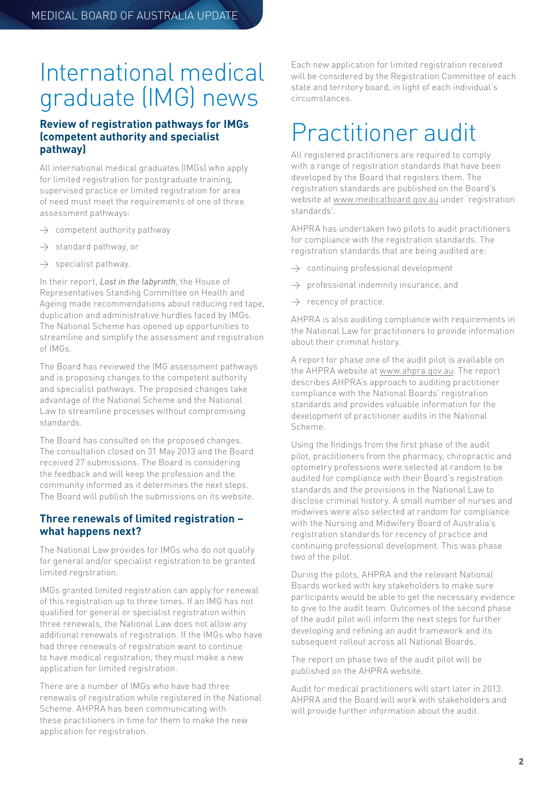## <span id="page-1-0"></span>International medical graduate (IMG) news

#### **Review of registration pathways for IMGs (competent authority and specialist pathway)**

All international medical graduates (IMGs) who apply for limited registration for postgraduate training, supervised practice or limited registration for area of need must meet the requirements of one of three assessment pathways:

- $\rightarrow$  competent authority pathway
- $\rightarrow$  standard pathway, or
- $\rightarrow$  specialist pathway.

In their report, *Lost in the labyrinth*, the House of Representatives Standing Committee on Health and Ageing made recommendations about reducing red tape, duplication and administrative hurdles faced by IMGs. The National Scheme has opened up opportunities to streamline and simplify the assessment and registration of IMGs.

The Board has reviewed the IMG assessment pathways and is proposing changes to the competent authority and specialist pathways. The proposed changes take advantage of the National Scheme and the National Law to streamline processes without compromising standards.

The Board has consulted on the proposed changes. The consultation closed on 31 May 2013 and the Board received 27 submissions. The Board is considering the feedback and will keep the profession and the community informed as it determines the next steps. The Board will publish the submissions on its website.

#### **Three renewals of limited registration – what happens next?**

The National Law provides for IMGs who do not qualify for general and/or specialist registration to be granted limited registration.

IMGs granted limited registration can apply for renewal of this registration up to three times. If an IMG has not qualified for general or specialist registration within three renewals, the National Law does not allow any additional renewals of registration. If the IMGs who have had three renewals of registration want to continue to have medical registration, they must make a new application for limited registration.

There are a number of IMGs who have had three renewals of registration while registered in the National Scheme. AHPRA has been communicating with these practitioners in time for them to make the new application for registration.

Each new application for limited registration received will be considered by the Registration Committee of each state and territory board, in light of each individual's circumstances.

## Practitioner audit

All registered practitioners are required to comply with a range of registration standards that have been developed by the Board that registers them. The registration standards are published on the Board's website at [www.medicalboard.gov.au](http://www.medicalboard.gov.au) under 'registration standards'.

AHPRA has undertaken two pilots to audit practitioners for compliance with the registration standards. The registration standards that are being audited are:

- $\rightarrow$  continuing professional development
- $\rightarrow$  professional indemnity insurance, and
- $\rightarrow$  recency of practice.

AHPRA is also auditing compliance with requirements in the National Law for practitioners to provide information about their criminal history.

A report for phase one of the audit pilot is available on the AHPRA website at [www.ahpra.gov.au.](http://www.ahpra.gov.au) The report describes AHPRA's approach to auditing practitioner compliance with the National Boards' registration standards and provides valuable information for the development of practitioner audits in the National Scheme.

Using the findings from the first phase of the audit pilot, practitioners from the pharmacy, chiropractic and optometry professions were selected at random to be audited for compliance with their Board's registration standards and the provisions in the National Law to disclose criminal history. A small number of nurses and midwives were also selected at random for compliance with the Nursing and Midwifery Board of Australia's registration standards for recency of practice and continuing professional development. This was phase two of the pilot.

During the pilots, AHPRA and the relevant National Boards worked with key stakeholders to make sure participants would be able to get the necessary evidence to give to the audit team. Outcomes of the second phase of the audit pilot will inform the next steps for further developing and refining an audit framework and its subsequent rollout across all National Boards.

The report on phase two of the audit pilot will be published on the AHPRA website.

Audit for medical practitioners will start later in 2013. AHPRA and the Board will work with stakeholders and will provide further information about the audit.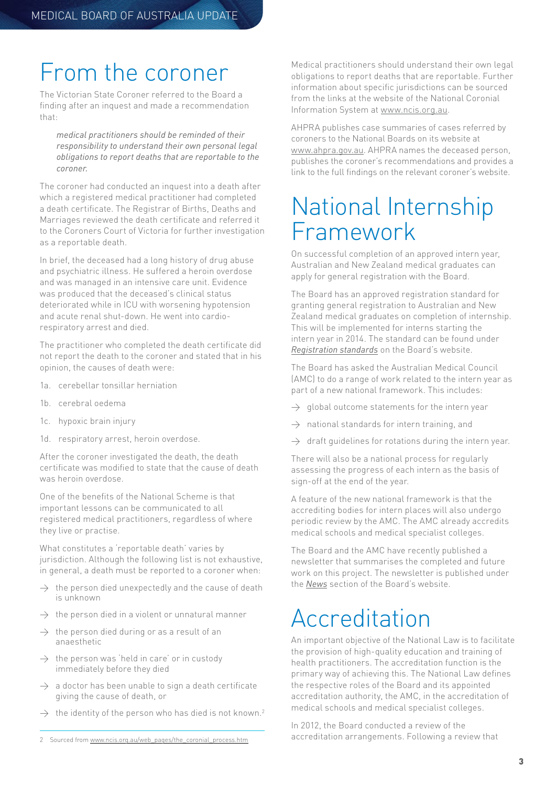## <span id="page-2-0"></span>From the coroner

The Victorian State Coroner referred to the Board a finding after an inquest and made a recommendation that:

*medical practitioners should be reminded of their responsibility to understand their own personal legal obligations to report deaths that are reportable to the coroner.*

The coroner had conducted an inquest into a death after which a registered medical practitioner had completed a death certificate. The Registrar of Births, Deaths and Marriages reviewed the death certificate and referred it to the Coroners Court of Victoria for further investigation as a reportable death.

In brief, the deceased had a long history of drug abuse and psychiatric illness. He suffered a heroin overdose and was managed in an intensive care unit. Evidence was produced that the deceased's clinical status deteriorated while in ICU with worsening hypotension and acute renal shut-down. He went into cardiorespiratory arrest and died.

The practitioner who completed the death certificate did not report the death to the coroner and stated that in his opinion, the causes of death were:

- 1a. cerebellar tonsillar herniation
- 1b. cerebral oedema
- 1c. hypoxic brain injury
- 1d. respiratory arrest, heroin overdose.

After the coroner investigated the death, the death certificate was modified to state that the cause of death was heroin overdose.

One of the benefits of the National Scheme is that important lessons can be communicated to all registered medical practitioners, regardless of where they live or practise.

What constitutes a 'reportable death' varies by jurisdiction. Although the following list is not exhaustive, in general, a death must be reported to a coroner when:

- $\rightarrow$  the person died unexpectedly and the cause of death is unknown
- $\rightarrow$  the person died in a violent or unnatural manner
- $\rightarrow$  the person died during or as a result of an anaesthetic
- $\rightarrow$  the person was 'held in care' or in custody immediately before they died
- $\rightarrow$  a doctor has been unable to sign a death certificate giving the cause of death, or
- $\rightarrow$  the identity of the person who has died is not known.<sup>2</sup>

2 Sourced from [www.ncis.org.au/web\\_pages/the\\_coronial\\_process.htm](http://www.ncis.org.au/web_pages/the_coronial_process.htm)

Medical practitioners should understand their own legal obligations to report deaths that are reportable. Further information about specific jurisdictions can be sourced from the links at the website of the National Coronial Information System at [www.ncis.org.au](http://www.ncis.org.au).

AHPRA publishes case summaries of cases referred by coroners to the National Boards on its website at [www.ahpra.gov.au](http://www.ahpra.gov.au). AHPRA names the deceased person, publishes the coroner's recommendations and provides a link to the full findings on the relevant coroner's website.

#### National Internship Framework

On successful completion of an approved intern year, Australian and New Zealand medical graduates can apply for general registration with the Board.

The Board has an approved registration standard for granting general registration to Australian and New Zealand medical graduates on completion of internship. This will be implemented for interns starting the intern year in 2014. The standard can be found under *[Registration standards](http://www.medicalboard.gov.au/Registration-Standards.aspx)* on the Board's website.

The Board has asked the Australian Medical Council (AMC) to do a range of work related to the intern year as part of a new national framework. This includes:

- $\rightarrow$  global outcome statements for the intern year
- $\rightarrow$  national standards for intern training, and
- $\rightarrow$  draft quidelines for rotations during the intern year.

There will also be a national process for regularly assessing the progress of each intern as the basis of sign-off at the end of the year.

A feature of the new national framework is that the accrediting bodies for intern places will also undergo periodic review by the AMC. The AMC already accredits medical schools and medical specialist colleges.

The Board and the AMC have recently published a newsletter that summarises the completed and future work on this project. The newsletter is published under the *[News](http://www.medicalboard.gov.au/News/2013-05-31-joint-newsletter.aspx)* section of the Board's website.

# Accreditation

An important objective of the National Law is to facilitate the provision of high-quality education and training of health practitioners. The accreditation function is the primary way of achieving this. The National Law defines the respective roles of the Board and its appointed accreditation authority, the AMC, in the accreditation of medical schools and medical specialist colleges.

In 2012, the Board conducted a review of the accreditation arrangements. Following a review that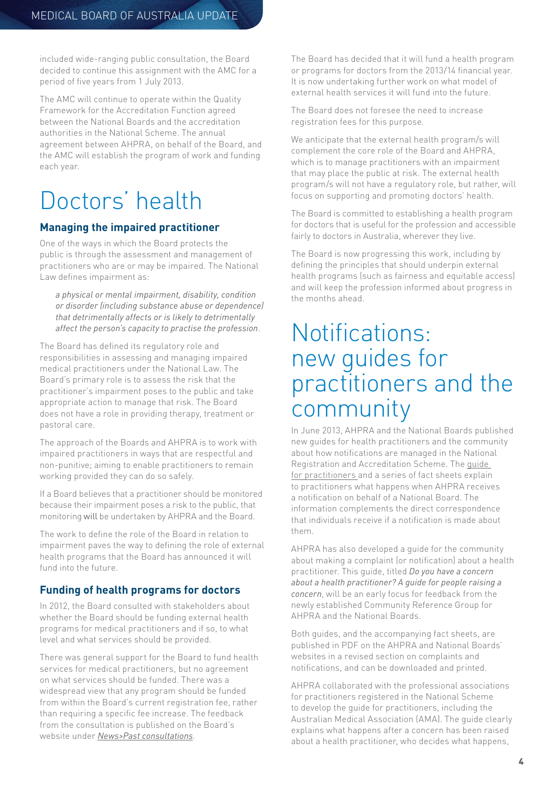<span id="page-3-0"></span>included wide-ranging public consultation, the Board decided to continue this assignment with the AMC for a period of five years from 1 July 2013.

The AMC will continue to operate within the Quality Framework for the Accreditation Function agreed between the National Boards and the accreditation authorities in the National Scheme. The annual agreement between AHPRA, on behalf of the Board, and the AMC will establish the program of work and funding each year.

# Doctors' health

#### **Managing the impaired practitioner**

One of the ways in which the Board protects the public is through the assessment and management of practitioners who are or may be impaired. The National Law defines impairment as:

*a physical or mental impairment, disability, condition or disorder (including substance abuse or dependence) that detrimentally affects or is likely to detrimentally affect the person's capacity to practise the profession*.

The Board has defined its regulatory role and responsibilities in assessing and managing impaired medical practitioners under the National Law. The Board's primary role is to assess the risk that the practitioner's impairment poses to the public and take appropriate action to manage that risk. The Board does not have a role in providing therapy, treatment or pastoral care.

The approach of the Boards and AHPRA is to work with impaired practitioners in ways that are respectful and non-punitive; aiming to enable practitioners to remain working provided they can do so safely.

If a Board believes that a practitioner should be monitored because their impairment poses a risk to the public, that monitoring will be undertaken by AHPRA and the Board.

The work to define the role of the Board in relation to impairment paves the way to defining the role of external health programs that the Board has announced it will fund into the future.

#### **Funding of health programs for doctors**

In 2012, the Board consulted with stakeholders about whether the Board should be funding external health programs for medical practitioners and if so, to what level and what services should be provided.

There was general support for the Board to fund health services for medical practitioners, but no agreement on what services should be funded. There was a widespread view that any program should be funded from within the Board's current registration fee, rather than requiring a specific fee increase. The feedback from the consultation is published on the Board's website under *[News>Past consultations](http://www.medicalboard.gov.au/News/Past-Consultations.aspx)*.

The Board has decided that it will fund a health program or programs for doctors from the 2013/14 financial year. It is now undertaking further work on what model of external health services it will fund into the future.

The Board does not foresee the need to increase registration fees for this purpose.

We anticipate that the external health program/s will complement the core role of the Board and AHPRA, which is to manage practitioners with an impairment that may place the public at risk. The external health program/s will not have a regulatory role, but rather, will focus on supporting and promoting doctors' health.

The Board is committed to establishing a health program for doctors that is useful for the profession and accessible fairly to doctors in Australia, wherever they live.

The Board is now progressing this work, including by defining the principles that should underpin external health programs (such as fairness and equitable access) and will keep the profession informed about progress in the months ahead.

## Notifications: new guides for practitioners and the community

In June 2013, AHPRA and the National Boards published new guides for health practitioners and the community about how notifications are managed in the National Registration and Accreditation Scheme. The [guide](http://www.ahpra.gov.au/Notifications/Fact-sheets.aspx)  [for practitioners](http://www.ahpra.gov.au/Notifications/Fact-sheets.aspx) and a series of fact sheets explain to practitioners what happens when AHPRA receives a notification on behalf of a National Board. The information complements the direct correspondence that individuals receive if a notification is made about them.

AHPRA has also developed a guide for the community about making a complaint (or notification) about a health practitioner. This guide, titled *Do you have a concern about a health practitioner? A guide for people raising a concern*, will be an early focus for feedback from the newly established Community Reference Group for AHPRA and the National Boards.

Both guides, and the accompanying fact sheets, are published in PDF on the AHPRA and National Boards' websites in a revised section on complaints and notifications, and can be downloaded and printed.

AHPRA collaborated with the professional associations for practitioners registered in the National Scheme to develop the guide for practitioners, including the Australian Medical Association (AMA). The guide clearly explains what happens after a concern has been raised about a health practitioner, who decides what happens,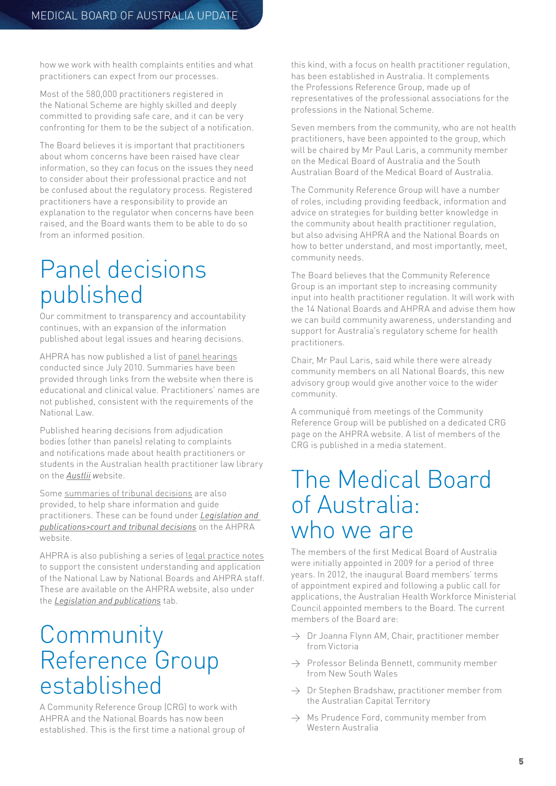<span id="page-4-0"></span>how we work with health complaints entities and what practitioners can expect from our processes.

Most of the 580,000 practitioners registered in the National Scheme are highly skilled and deeply committed to providing safe care, and it can be very confronting for them to be the subject of a notification.

The Board believes it is important that practitioners about whom concerns have been raised have clear information, so they can focus on the issues they need to consider about their professional practice and not be confused about the regulatory process. Registered practitioners have a responsibility to provide an explanation to the regulator when concerns have been raised, and the Board wants them to be able to do so from an informed position.

## Panel decisions published

Our commitment to transparency and accountability continues, with an expansion of the information published about legal issues and hearing decisions.

AHPRA has now published a list of [panel hearings](http://www.ahpra.gov.au/Legislation-and-Publications/Panel-Decisions.aspx) conducted since July 2010. Summaries have been provided through links from the website when there is educational and clinical value. Practitioners' names are not published, consistent with the requirements of the National Law.

Published hearing decisions from adjudication bodies (other than panels) relating to complaints and notifications made about health practitioners or students in the Australian health practitioner law library on the *[Austlii](http://www.austlii.edu.au/au/special/healthprac/) w*ebsite.

Some summaries of [tribunal decisions](http://www.ahpra.gov.au/Legislation-and-Publications/Tribunal-Decisions.aspx) are also provided, to help share information and guide practitioners. These can be found under *[Legislation and](http://www.ahpra.gov.au/Legislation-and-Publications/Tribunal-Decisions.aspx)  [publications>court and tribunal decisions](http://www.ahpra.gov.au/Legislation-and-Publications/Tribunal-Decisions.aspx)* on the AHPRA website.

AHPRA is also publishing a series of [legal practice notes](http://www.ahpra.gov.au/Legislation-and-Publications/legal-practice-notes.aspx) to support the consistent understanding and application of the National Law by National Boards and AHPRA staff. These are available on the AHPRA website, also under the *[Legislation and publications](http://www.ahpra.gov.au/Legislation-and-Publications.aspx)* tab.

## **Community** Reference Group established

A Community Reference Group (CRG) to work with AHPRA and the National Boards has now been established. This is the first time a national group of this kind, with a focus on health practitioner regulation, has been established in Australia. It complements the Professions Reference Group, made up of representatives of the professional associations for the professions in the National Scheme.

Seven members from the community, who are not health practitioners, have been appointed to the group, which will be chaired by Mr Paul Laris, a community member on the Medical Board of Australia and the South Australian Board of the Medical Board of Australia.

The Community Reference Group will have a number of roles, including providing feedback, information and advice on strategies for building better knowledge in the community about health practitioner regulation, but also advising AHPRA and the National Boards on how to better understand, and most importantly, meet, community needs.

The Board believes that the Community Reference Group is an important step to increasing community input into health practitioner regulation. It will work with the 14 National Boards and AHPRA and advise them how we can build community awareness, understanding and support for Australia's regulatory scheme for health practitioners.

Chair, Mr Paul Laris, said while there were already community members on all National Boards, this new advisory group would give another voice to the wider community.

A communiqué from meetings of the Community Reference Group will be published on a dedicated CRG page on the AHPRA website. A list of members of the CRG is published in a media statement.

## The Medical Board of Australia: who we are

The members of the first Medical Board of Australia were initially appointed in 2009 for a period of three years. In 2012, the inaugural Board members' terms of appointment expired and following a public call for applications, the Australian Health Workforce Ministerial Council appointed members to the Board. The current members of the Board are:

- $\rightarrow$  Dr Joanna Flynn AM, Chair, practitioner member from Victoria
- $\rightarrow$  Professor Belinda Bennett, community member from New South Wales
- $\rightarrow$  Dr Stephen Bradshaw, practitioner member from the Australian Capital Territory
- $\rightarrow$  Ms Prudence Ford, community member from Western Australia